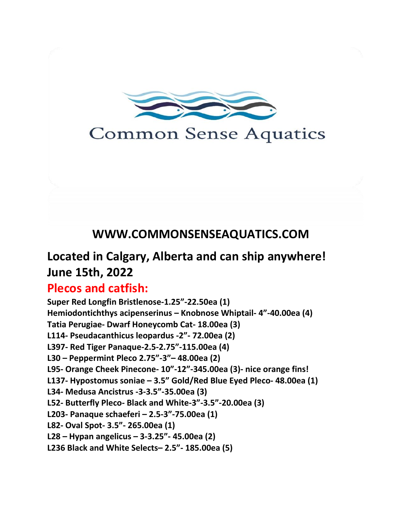

# **Common Sense Aquatics**

# **WWW.COMMONSENSEAQUATICS.COM**

# **Located in Calgary, Alberta and can ship anywhere! June 15th, 2022**

### **Plecos and catfish:**

**Super Red Longfin Bristlenose-1.25"-22.50ea (1) Hemiodontichthys acipenserinus – Knobnose Whiptail- 4"-40.00ea (4) Tatia Perugiae- Dwarf Honeycomb Cat- 18.00ea (3) L114- Pseudacanthicus leopardus -2"- 72.00ea (2) L397- Red Tiger Panaque-2.5-2.75"-115.00ea (4) L30 – Peppermint Pleco 2.75"-3"– 48.00ea (2) L95- Orange Cheek Pinecone- 10"-12"-345.00ea (3)- nice orange fins! L137- Hypostomus soniae – 3.5" Gold/Red Blue Eyed Pleco- 48.00ea (1) L34- Medusa Ancistrus -3-3.5"-35.00ea (3) L52- Butterfly Pleco- Black and White-3"-3.5"-20.00ea (3) L203- Panaque schaeferi – 2.5-3"-75.00ea (1) L82- Oval Spot- 3.5"- 265.00ea (1) L28 – Hypan angelicus – 3-3.25"- 45.00ea (2) L236 Black and White Selects– 2.5"- 185.00ea (5)**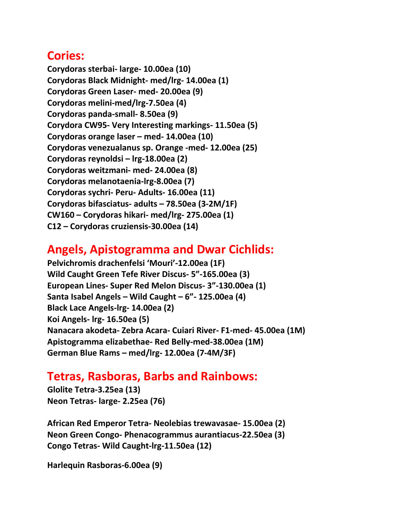#### **Cories:**

**Corydoras sterbai- large- 10.00ea (10) Corydoras Black Midnight- med/lrg- 14.00ea (1) Corydoras Green Laser- med- 20.00ea (9) Corydoras melini-med/lrg-7.50ea (4) Corydoras panda-small- 8.50ea (9) Corydora CW95- Very Interesting markings- 11.50ea (5) Corydoras orange laser – med- 14.00ea (10) Corydoras venezualanus sp. Orange -med- 12.00ea (25) Corydoras reynoldsi – lrg-18.00ea (2) Corydoras weitzmani- med- 24.00ea (8) Corydoras melanotaenia-lrg-8.00ea (7) Corydoras sychri- Peru- Adults- 16.00ea (11) Corydoras bifasciatus- adults – 78.50ea (3-2M/1F) CW160 – Corydoras hikari- med/lrg- 275.00ea (1) C12 – Corydoras cruziensis-30.00ea (14)**

## **Angels, Apistogramma and Dwar Cichlids:**

**Pelvichromis drachenfelsi 'Mouri'-12.00ea (1F) Wild Caught Green Tefe River Discus- 5"-165.00ea (3) European Lines- Super Red Melon Discus- 3"-130.00ea (1) Santa Isabel Angels – Wild Caught – 6"- 125.00ea (4) Black Lace Angels-lrg- 14.00ea (2) Koi Angels- lrg- 16.50ea (5) Nanacara akodeta- Zebra Acara- Cuiari River- F1-med- 45.00ea (1M) Apistogramma elizabethae- Red Belly-med-38.00ea (1M) German Blue Rams – med/lrg- 12.00ea (7-4M/3F)**

#### **Tetras, Rasboras, Barbs and Rainbows:**

**Glolite Tetra-3.25ea (13) Neon Tetras- large- 2.25ea (76)**

**African Red Emperor Tetra- Neolebias trewavasae- 15.00ea (2) Neon Green Congo- Phenacogrammus aurantiacus-22.50ea (3) Congo Tetras- Wild Caught-lrg-11.50ea (12)**

**Harlequin Rasboras-6.00ea (9)**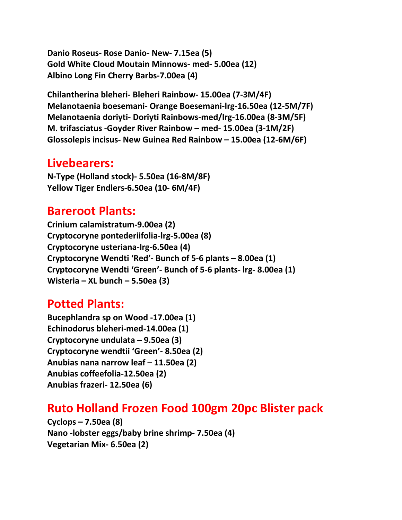**Danio Roseus- Rose Danio- New- 7.15ea (5) Gold White Cloud Moutain Minnows- med- 5.00ea (12) Albino Long Fin Cherry Barbs-7.00ea (4)**

**Chilantherina bleheri- Bleheri Rainbow- 15.00ea (7-3M/4F) Melanotaenia boesemani- Orange Boesemani-lrg-16.50ea (12-5M/7F) Melanotaenia doriyti- Doriyti Rainbows-med/lrg-16.00ea (8-3M/5F) M. trifasciatus -Goyder River Rainbow – med- 15.00ea (3-1M/2F) Glossolepis incisus- New Guinea Red Rainbow – 15.00ea (12-6M/6F)**

#### **Livebearers:**

**N-Type (Holland stock)- 5.50ea (16-8M/8F) Yellow Tiger Endlers-6.50ea (10- 6M/4F)**

#### **Bareroot Plants:**

**Crinium calamistratum-9.00ea (2) Cryptocoryne pontederiifolia-lrg-5.00ea (8) Cryptocoryne usteriana-lrg-6.50ea (4) Cryptocoryne Wendti 'Red'- Bunch of 5-6 plants – 8.00ea (1) Cryptocoryne Wendti 'Green'- Bunch of 5-6 plants- lrg- 8.00ea (1) Wisteria – XL bunch – 5.50ea (3)**

#### **Potted Plants:**

**Bucephlandra sp on Wood -17.00ea (1) Echinodorus bleheri-med-14.00ea (1) Cryptocoryne undulata – 9.50ea (3) Cryptocoryne wendtii 'Green'- 8.50ea (2) Anubias nana narrow leaf – 11.50ea (2) Anubias coffeefolia-12.50ea (2) Anubias frazeri- 12.50ea (6)** 

### **Ruto Holland Frozen Food 100gm 20pc Blister pack**

**Cyclops – 7.50ea (8) Nano -lobster eggs/baby brine shrimp- 7.50ea (4) Vegetarian Mix- 6.50ea (2)**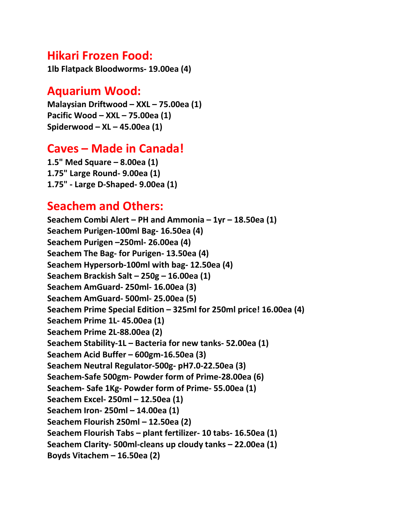#### **Hikari Frozen Food:**

**1lb Flatpack Bloodworms- 19.00ea (4)**

#### **Aquarium Wood:**

**Malaysian Driftwood – XXL – 75.00ea (1) Pacific Wood – XXL – 75.00ea (1) Spiderwood – XL – 45.00ea (1)** 

#### **Caves – Made in Canada!**

**1.5" Med Square – 8.00ea (1) 1.75" Large Round- 9.00ea (1) 1.75" - Large D-Shaped- 9.00ea (1)**

#### **Seachem and Others:**

**Seachem Combi Alert – PH and Ammonia – 1yr – 18.50ea (1) Seachem Purigen-100ml Bag- 16.50ea (4) Seachem Purigen –250ml- 26.00ea (4) Seachem The Bag- for Purigen- 13.50ea (4) Seachem Hypersorb-100ml with bag- 12.50ea (4) Seachem Brackish Salt – 250g – 16.00ea (1) Seachem AmGuard- 250ml- 16.00ea (3) Seachem AmGuard- 500ml- 25.00ea (5) Seachem Prime Special Edition – 325ml for 250ml price! 16.00ea (4) Seachem Prime 1L- 45.00ea (1) Seachem Prime 2L-88.00ea (2) Seachem Stability-1L – Bacteria for new tanks- 52.00ea (1) Seachem Acid Buffer – 600gm-16.50ea (3) Seachem Neutral Regulator-500g- pH7.0-22.50ea (3) Seachem-Safe 500gm- Powder form of Prime-28.00ea (6) Seachem- Safe 1Kg- Powder form of Prime- 55.00ea (1) Seachem Excel- 250ml – 12.50ea (1) Seachem Iron- 250ml – 14.00ea (1) Seachem Flourish 250ml – 12.50ea (2) Seachem Flourish Tabs – plant fertilizer- 10 tabs- 16.50ea (1) Seachem Clarity- 500ml-cleans up cloudy tanks – 22.00ea (1) Boyds Vitachem – 16.50ea (2)**